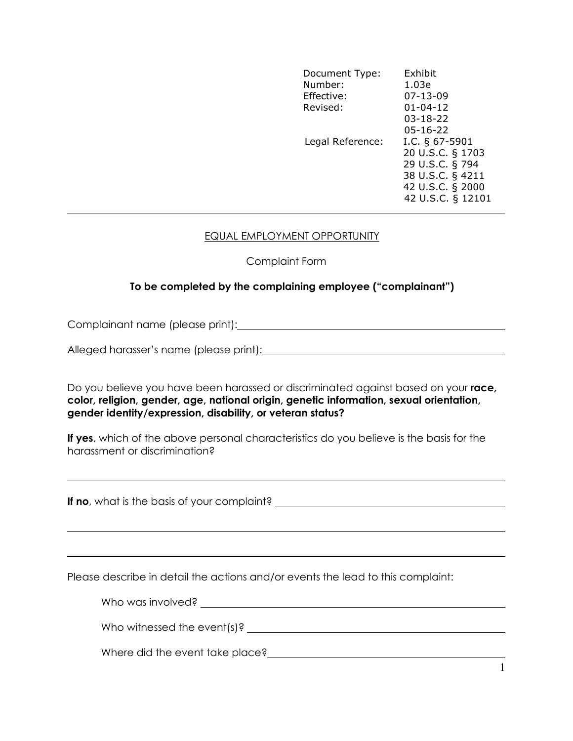| Document Type:<br>Number:<br>Effective:<br>Revised: | Exhibit<br>1.03e<br>$07 - 13 - 09$<br>$01 - 04 - 12$<br>$03 - 18 - 22$<br>$05 - 16 - 22$                              |
|-----------------------------------------------------|-----------------------------------------------------------------------------------------------------------------------|
| Legal Reference:                                    | I.C. $\S$ 67-5901<br>20 U.S.C. § 1703<br>29 U.S.C. § 794<br>38 U.S.C. § 4211<br>42 U.S.C. § 2000<br>42 U.S.C. § 12101 |

## EQUAL EMPLOYMENT OPPORTUNITY

## Complaint Form

## To be completed by the complaining employee ("complainant")

Complainant name (please print):

Alleged harasser's name (please print):

Do you believe you have been harassed or discriminated against based on your race, color, religion, gender, age, national origin, genetic information, sexual orientation, gender identity/expression, disability, or veteran status?

If yes, which of the above personal characteristics do you believe is the basis for the harassment or discrimination?

If no, what is the basis of your complaint?

 $\overline{a}$ 

 $\overline{a}$ 

Please describe in detail the actions and/or events the lead to this complaint:

| Who was involved?               |
|---------------------------------|
|                                 |
| Who witnessed the event(s)?     |
| Where did the event take place? |